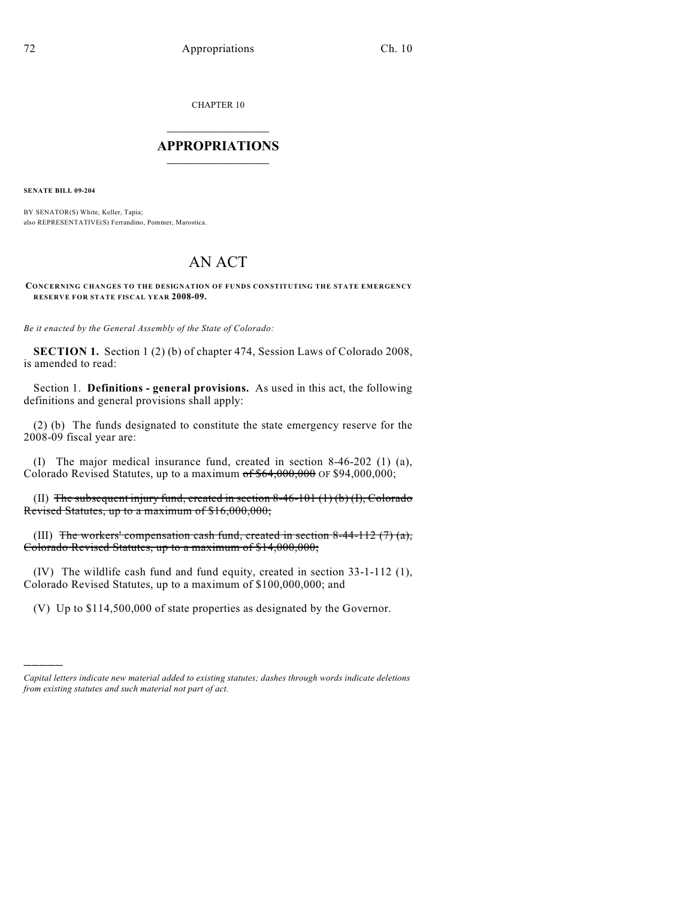CHAPTER 10

## $\overline{\phantom{a}}$  . The set of the set of the set of the set of the set of the set of the set of the set of the set of the set of the set of the set of the set of the set of the set of the set of the set of the set of the set o **APPROPRIATIONS**  $\_$   $\_$   $\_$   $\_$   $\_$   $\_$   $\_$   $\_$

**SENATE BILL 09-204**

)))))

BY SENATOR(S) White, Keller, Tapia; also REPRESENTATIVE(S) Ferrandino, Pommer, Marostica.

## AN ACT

**CONCERNING CHANGES TO THE DESIGNATION OF FUNDS CONSTITUTING THE STATE EMERGENCY RESERVE FOR STATE FISCAL YEAR 2008-09.**

*Be it enacted by the General Assembly of the State of Colorado:*

**SECTION 1.** Section 1 (2) (b) of chapter 474, Session Laws of Colorado 2008, is amended to read:

Section 1. **Definitions - general provisions.** As used in this act, the following definitions and general provisions shall apply:

(2) (b) The funds designated to constitute the state emergency reserve for the 2008-09 fiscal year are:

(I) The major medical insurance fund, created in section 8-46-202 (1) (a), Colorado Revised Statutes, up to a maximum  $of $64,000,000$  OF \$94,000,000;

(II) The subsequent injury fund, created in section 8-46-101  $(1)(b)(I)$ , Colorado Revised Statutes, up to a maximum of \$16,000,000;

(III) The workers' compensation cash fund, created in section 8-44-112  $(7)$  (a), Colorado Revised Statutes, up to a maximum of \$14,000,000;

(IV) The wildlife cash fund and fund equity, created in section 33-1-112 (1), Colorado Revised Statutes, up to a maximum of \$100,000,000; and

(V) Up to \$114,500,000 of state properties as designated by the Governor.

*Capital letters indicate new material added to existing statutes; dashes through words indicate deletions from existing statutes and such material not part of act.*